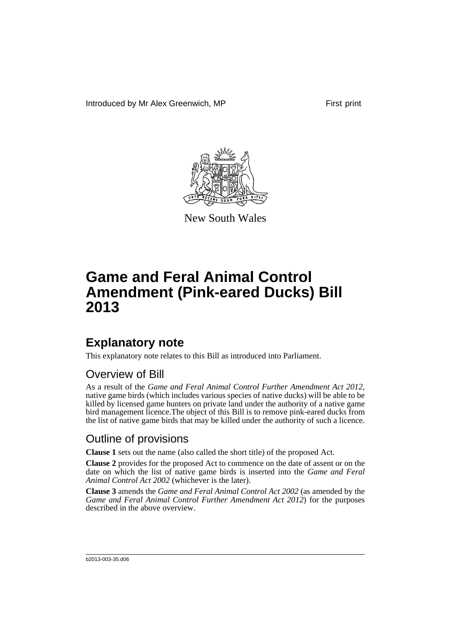Introduced by Mr Alex Greenwich, MP First print



New South Wales

# **Game and Feral Animal Control Amendment (Pink-eared Ducks) Bill 2013**

## **Explanatory note**

This explanatory note relates to this Bill as introduced into Parliament.

#### Overview of Bill

As a result of the *Game and Feral Animal Control Further Amendment Act 2012*, native game birds (which includes various species of native ducks) will be able to be killed by licensed game hunters on private land under the authority of a native game bird management licence.The object of this Bill is to remove pink-eared ducks from the list of native game birds that may be killed under the authority of such a licence.

#### Outline of provisions

**Clause 1** sets out the name (also called the short title) of the proposed Act.

**Clause 2** provides for the proposed Act to commence on the date of assent or on the date on which the list of native game birds is inserted into the *Game and Feral Animal Control Act 2002* (whichever is the later).

**Clause 3** amends the *Game and Feral Animal Control Act 2002* (as amended by the *Game and Feral Animal Control Further Amendment Act 2012*) for the purposes described in the above overview.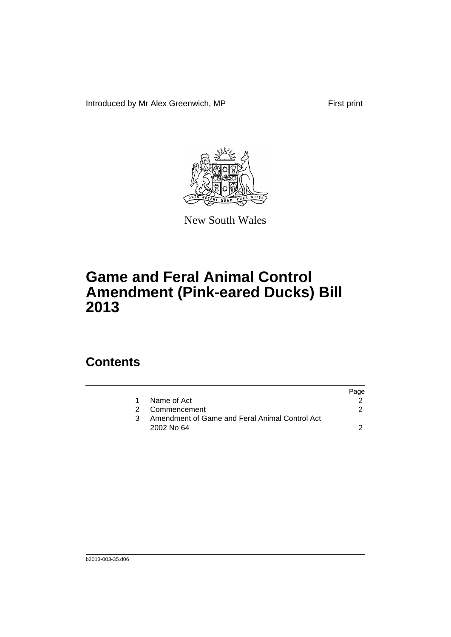Introduced by Mr Alex Greenwich, MP First print



New South Wales

# **Game and Feral Animal Control Amendment (Pink-eared Ducks) Bill 2013**

### **Contents**

|                                                | Page |
|------------------------------------------------|------|
| Name of Act                                    |      |
| 2 Commencement                                 |      |
| Amendment of Game and Feral Animal Control Act |      |
| 2002 No 64                                     |      |
|                                                |      |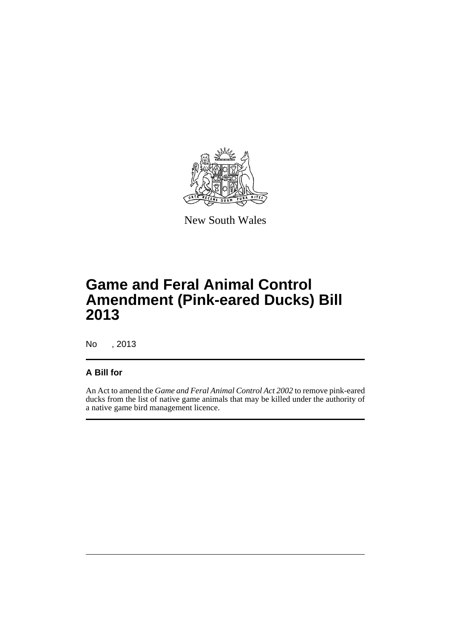

New South Wales

# **Game and Feral Animal Control Amendment (Pink-eared Ducks) Bill 2013**

No , 2013

#### **A Bill for**

An Act to amend the *Game and Feral Animal Control Act 2002* to remove pink-eared ducks from the list of native game animals that may be killed under the authority of a native game bird management licence.